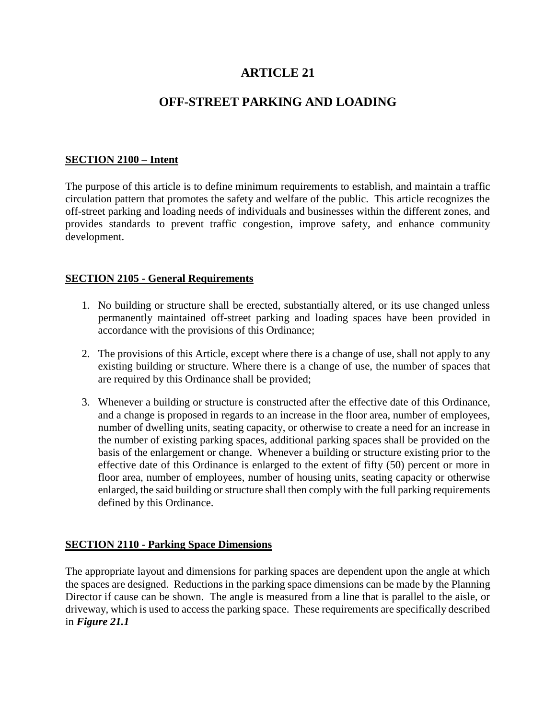# **ARTICLE 21**

# **OFF-STREET PARKING AND LOADING**

# **SECTION 2100 – Intent**

The purpose of this article is to define minimum requirements to establish, and maintain a traffic circulation pattern that promotes the safety and welfare of the public. This article recognizes the off-street parking and loading needs of individuals and businesses within the different zones, and provides standards to prevent traffic congestion, improve safety, and enhance community development.

#### **SECTION 2105 - General Requirements**

- 1. No building or structure shall be erected, substantially altered, or its use changed unless permanently maintained off-street parking and loading spaces have been provided in accordance with the provisions of this Ordinance;
- 2. The provisions of this Article, except where there is a change of use, shall not apply to any existing building or structure. Where there is a change of use, the number of spaces that are required by this Ordinance shall be provided;
- 3. Whenever a building or structure is constructed after the effective date of this Ordinance, and a change is proposed in regards to an increase in the floor area, number of employees, number of dwelling units, seating capacity, or otherwise to create a need for an increase in the number of existing parking spaces, additional parking spaces shall be provided on the basis of the enlargement or change. Whenever a building or structure existing prior to the effective date of this Ordinance is enlarged to the extent of fifty (50) percent or more in floor area, number of employees, number of housing units, seating capacity or otherwise enlarged, the said building or structure shall then comply with the full parking requirements defined by this Ordinance.

# **SECTION 2110 - Parking Space Dimensions**

The appropriate layout and dimensions for parking spaces are dependent upon the angle at which the spaces are designed. Reductions in the parking space dimensions can be made by the Planning Director if cause can be shown. The angle is measured from a line that is parallel to the aisle, or driveway, which is used to access the parking space. These requirements are specifically described in *Figure 21.1*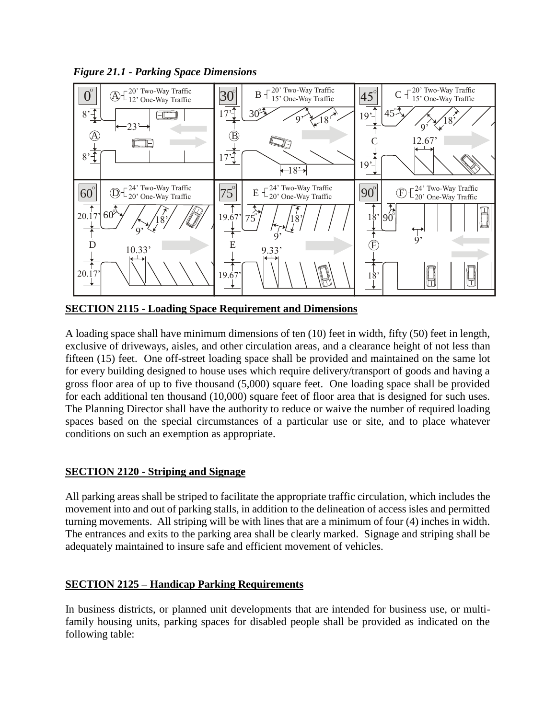*Figure 21.1 - Parking Space Dimensions*



**SECTION 2115 - Loading Space Requirement and Dimensions**

A loading space shall have minimum dimensions of ten (10) feet in width, fifty (50) feet in length, exclusive of driveways, aisles, and other circulation areas, and a clearance height of not less than fifteen (15) feet. One off-street loading space shall be provided and maintained on the same lot for every building designed to house uses which require delivery/transport of goods and having a gross floor area of up to five thousand (5,000) square feet. One loading space shall be provided for each additional ten thousand (10,000) square feet of floor area that is designed for such uses. The Planning Director shall have the authority to reduce or waive the number of required loading spaces based on the special circumstances of a particular use or site, and to place whatever conditions on such an exemption as appropriate.

# **SECTION 2120 - Striping and Signage**

All parking areas shall be striped to facilitate the appropriate traffic circulation, which includes the movement into and out of parking stalls, in addition to the delineation of access isles and permitted turning movements. All striping will be with lines that are a minimum of four (4) inches in width. The entrances and exits to the parking area shall be clearly marked. Signage and striping shall be adequately maintained to insure safe and efficient movement of vehicles.

# **SECTION 2125 – Handicap Parking Requirements**

In business districts, or planned unit developments that are intended for business use, or multifamily housing units, parking spaces for disabled people shall be provided as indicated on the following table: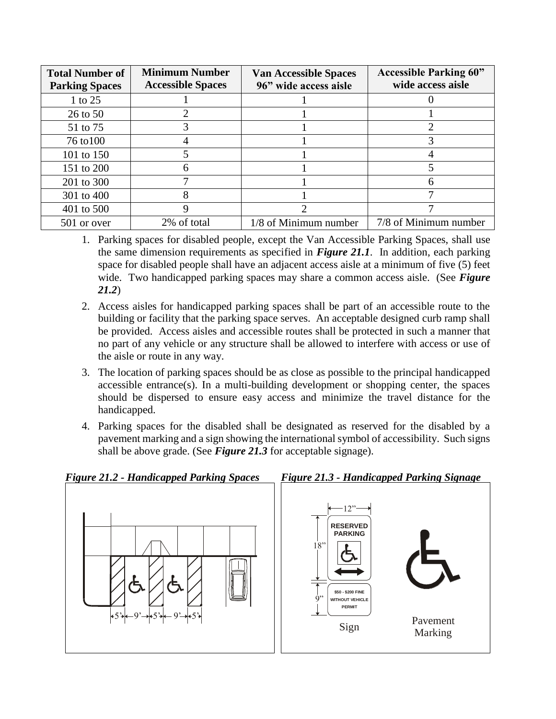| <b>Total Number of</b><br><b>Parking Spaces</b> | <b>Minimum Number</b><br><b>Accessible Spaces</b> | <b>Van Accessible Spaces</b><br>96" wide access aisle | <b>Accessible Parking 60"</b><br>wide access aisle |
|-------------------------------------------------|---------------------------------------------------|-------------------------------------------------------|----------------------------------------------------|
| 1 to 25                                         |                                                   |                                                       |                                                    |
| 26 to 50                                        |                                                   |                                                       |                                                    |
| 51 to 75                                        |                                                   |                                                       |                                                    |
| 76 to 100                                       |                                                   |                                                       |                                                    |
| 101 to 150                                      |                                                   |                                                       |                                                    |
| 151 to 200                                      | n                                                 |                                                       |                                                    |
| 201 to 300                                      |                                                   |                                                       |                                                    |
| 301 to 400                                      | 8                                                 |                                                       |                                                    |
| 401 to 500                                      |                                                   |                                                       |                                                    |
| 501 or over                                     | 2% of total                                       | 1/8 of Minimum number                                 | 7/8 of Minimum number                              |

- 1. Parking spaces for disabled people, except the Van Accessible Parking Spaces, shall use the same dimension requirements as specified in *Figure 21.1*. In addition, each parking space for disabled people shall have an adjacent access aisle at a minimum of five (5) feet wide. Two handicapped parking spaces may share a common access aisle. (See *Figure 21.2*)
- 2. Access aisles for handicapped parking spaces shall be part of an accessible route to the building or facility that the parking space serves. An acceptable designed curb ramp shall be provided. Access aisles and accessible routes shall be protected in such a manner that no part of any vehicle or any structure shall be allowed to interfere with access or use of the aisle or route in any way.
- 3. The location of parking spaces should be as close as possible to the principal handicapped accessible entrance(s). In a multi-building development or shopping center, the spaces should be dispersed to ensure easy access and minimize the travel distance for the handicapped.
- 4. Parking spaces for the disabled shall be designated as reserved for the disabled by a pavement marking and a sign showing the international symbol of accessibility. Such signs shall be above grade. (See *Figure 21.3* for acceptable signage).

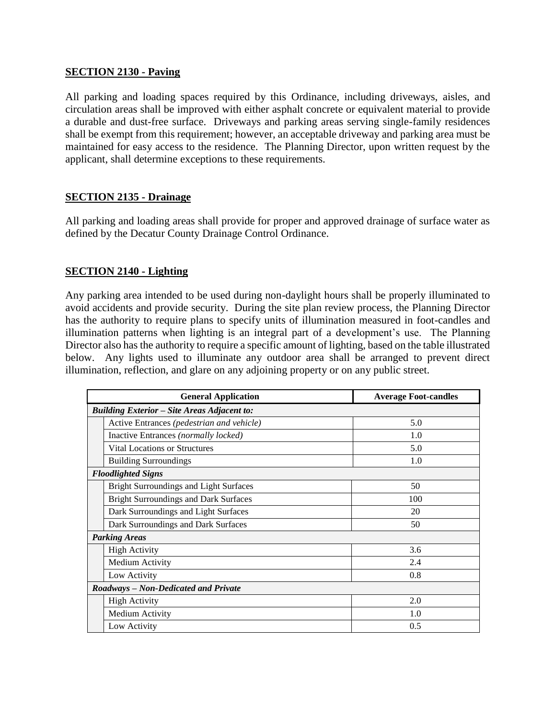#### **SECTION 2130 - Paving**

All parking and loading spaces required by this Ordinance, including driveways, aisles, and circulation areas shall be improved with either asphalt concrete or equivalent material to provide a durable and dust-free surface. Driveways and parking areas serving single-family residences shall be exempt from this requirement; however, an acceptable driveway and parking area must be maintained for easy access to the residence. The Planning Director, upon written request by the applicant, shall determine exceptions to these requirements.

#### **SECTION 2135 - Drainage**

All parking and loading areas shall provide for proper and approved drainage of surface water as defined by the Decatur County Drainage Control Ordinance.

#### **SECTION 2140 - Lighting**

Any parking area intended to be used during non-daylight hours shall be properly illuminated to avoid accidents and provide security. During the site plan review process, the Planning Director has the authority to require plans to specify units of illumination measured in foot-candles and illumination patterns when lighting is an integral part of a development's use. The Planning Director also has the authority to require a specific amount of lighting, based on the table illustrated below. Any lights used to illuminate any outdoor area shall be arranged to prevent direct illumination, reflection, and glare on any adjoining property or on any public street.

|                                      | <b>General Application</b>                         | <b>Average Foot-candles</b> |
|--------------------------------------|----------------------------------------------------|-----------------------------|
|                                      | <b>Building Exterior - Site Areas Adjacent to:</b> |                             |
|                                      | Active Entrances (pedestrian and vehicle)          | 5.0                         |
|                                      | Inactive Entrances (normally locked)               | 1.0                         |
|                                      | <b>Vital Locations or Structures</b>               | 5.0                         |
|                                      | <b>Building Surroundings</b>                       | 1.0                         |
|                                      | <b>Floodlighted Signs</b>                          |                             |
|                                      | <b>Bright Surroundings and Light Surfaces</b>      | 50                          |
|                                      | <b>Bright Surroundings and Dark Surfaces</b>       | 100                         |
|                                      | Dark Surroundings and Light Surfaces               | 20                          |
|                                      | Dark Surroundings and Dark Surfaces                | 50                          |
|                                      | <b>Parking Areas</b>                               |                             |
|                                      | <b>High Activity</b>                               | 3.6                         |
|                                      | Medium Activity                                    | 2.4                         |
|                                      | Low Activity                                       | 0.8                         |
| Roadways - Non-Dedicated and Private |                                                    |                             |
|                                      | <b>High Activity</b>                               | 2.0                         |
|                                      | Medium Activity                                    | 1.0                         |
|                                      | Low Activity                                       | 0.5                         |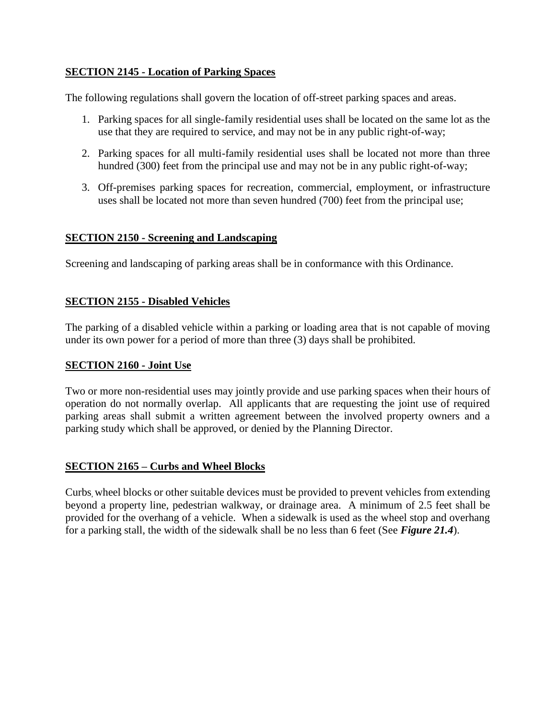# **SECTION 2145 - Location of Parking Spaces**

The following regulations shall govern the location of off-street parking spaces and areas.

- 1. Parking spaces for all single-family residential uses shall be located on the same lot as the use that they are required to service, and may not be in any public right-of-way;
- 2. Parking spaces for all multi-family residential uses shall be located not more than three hundred (300) feet from the principal use and may not be in any public right-of-way;
- 3. Off-premises parking spaces for recreation, commercial, employment, or infrastructure uses shall be located not more than seven hundred (700) feet from the principal use;

#### **SECTION 2150 - Screening and Landscaping**

Screening and landscaping of parking areas shall be in conformance with this Ordinance.

# **SECTION 2155 - Disabled Vehicles**

The parking of a disabled vehicle within a parking or loading area that is not capable of moving under its own power for a period of more than three (3) days shall be prohibited.

#### **SECTION 2160 - Joint Use**

Two or more non-residential uses may jointly provide and use parking spaces when their hours of operation do not normally overlap. All applicants that are requesting the joint use of required parking areas shall submit a written agreement between the involved property owners and a parking study which shall be approved, or denied by the Planning Director.

# **SECTION 2165 – Curbs and Wheel Blocks**

Curbs, wheel blocks or other suitable devices must be provided to prevent vehicles from extending beyond a property line, pedestrian walkway, or drainage area. A minimum of 2.5 feet shall be provided for the overhang of a vehicle. When a sidewalk is used as the wheel stop and overhang for a parking stall, the width of the sidewalk shall be no less than 6 feet (See *Figure 21.4*).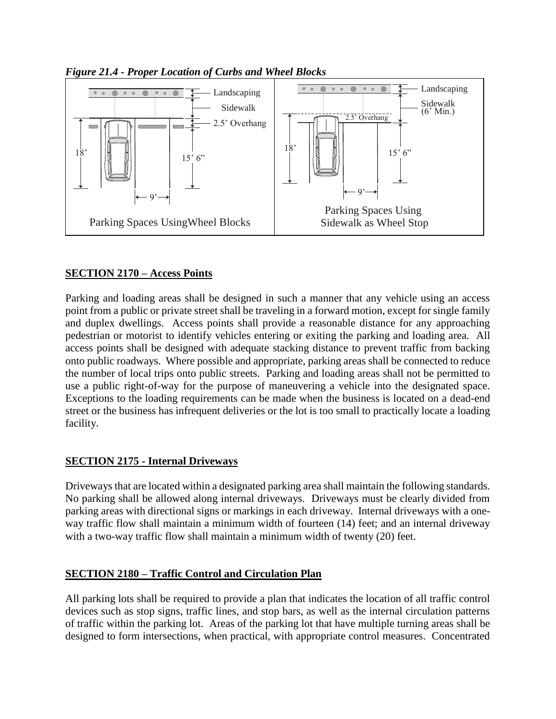

*Figure 21.4 - Proper Location of Curbs and Wheel Blocks*

# **SECTION 2170 – Access Points**

Parking and loading areas shall be designed in such a manner that any vehicle using an access point from a public or private street shall be traveling in a forward motion, except for single family and duplex dwellings. Access points shall provide a reasonable distance for any approaching pedestrian or motorist to identify vehicles entering or exiting the parking and loading area. All access points shall be designed with adequate stacking distance to prevent traffic from backing onto public roadways. Where possible and appropriate, parking areas shall be connected to reduce the number of local trips onto public streets. Parking and loading areas shall not be permitted to use a public right-of-way for the purpose of maneuvering a vehicle into the designated space. Exceptions to the loading requirements can be made when the business is located on a dead-end street or the business has infrequent deliveries or the lot is too small to practically locate a loading facility.

# **SECTION 2175 - Internal Driveways**

Driveways that are located within a designated parking area shall maintain the following standards. No parking shall be allowed along internal driveways. Driveways must be clearly divided from parking areas with directional signs or markings in each driveway. Internal driveways with a oneway traffic flow shall maintain a minimum width of fourteen (14) feet; and an internal driveway with a two-way traffic flow shall maintain a minimum width of twenty (20) feet.

# **SECTION 2180 – Traffic Control and Circulation Plan**

All parking lots shall be required to provide a plan that indicates the location of all traffic control devices such as stop signs, traffic lines, and stop bars, as well as the internal circulation patterns of traffic within the parking lot. Areas of the parking lot that have multiple turning areas shall be designed to form intersections, when practical, with appropriate control measures. Concentrated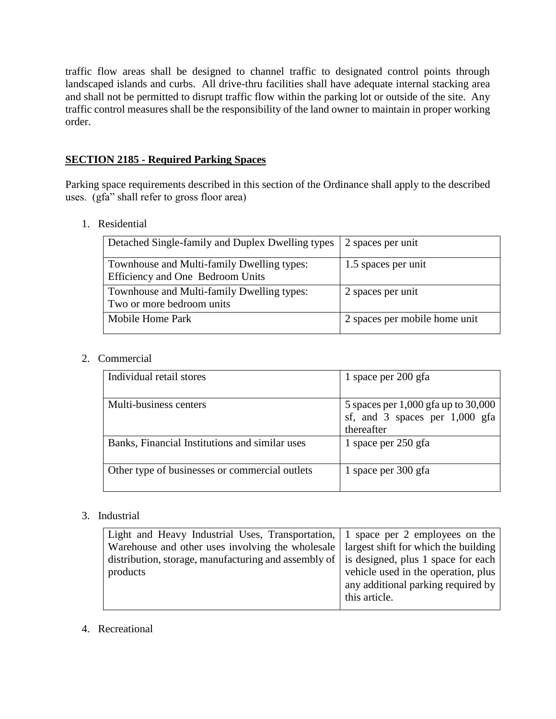traffic flow areas shall be designed to channel traffic to designated control points through landscaped islands and curbs. All drive-thru facilities shall have adequate internal stacking area and shall not be permitted to disrupt traffic flow within the parking lot or outside of the site. Any traffic control measures shall be the responsibility of the land owner to maintain in proper working order.

# **SECTION 2185 - Required Parking Spaces**

Parking space requirements described in this section of the Ordinance shall apply to the described uses. (gfa" shall refer to gross floor area)

1. Residential

| Detached Single-family and Duplex Dwelling types                               | 2 spaces per unit             |
|--------------------------------------------------------------------------------|-------------------------------|
| Townhouse and Multi-family Dwelling types:<br>Efficiency and One Bedroom Units | 1.5 spaces per unit           |
| Townhouse and Multi-family Dwelling types:<br>Two or more bedroom units        | 2 spaces per unit             |
| Mobile Home Park                                                               | 2 spaces per mobile home unit |

# 2. Commercial

| Individual retail stores                       | 1 space per 200 gfa                 |
|------------------------------------------------|-------------------------------------|
|                                                |                                     |
| Multi-business centers                         | 5 spaces per 1,000 gfa up to 30,000 |
|                                                | sf, and 3 spaces per 1,000 gfa      |
|                                                | thereafter                          |
| Banks, Financial Institutions and similar uses | 1 space per 250 gfa                 |
|                                                |                                     |
| Other type of businesses or commercial outlets | 1 space per 300 gfa                 |
|                                                |                                     |

# 3. Industrial

| Light and Heavy Industrial Uses, Transportation, $\begin{bmatrix} 1 \\ 9 \end{bmatrix}$ space per 2 employees on the |                                     |
|----------------------------------------------------------------------------------------------------------------------|-------------------------------------|
| Warehouse and other uses involving the wholesale   largest shift for which the building                              |                                     |
| distribution, storage, manufacturing and assembly of $\vert$ is designed, plus 1 space for each                      |                                     |
| products                                                                                                             | vehicle used in the operation, plus |
|                                                                                                                      | any additional parking required by  |
|                                                                                                                      | this article.                       |
|                                                                                                                      |                                     |

# 4. Recreational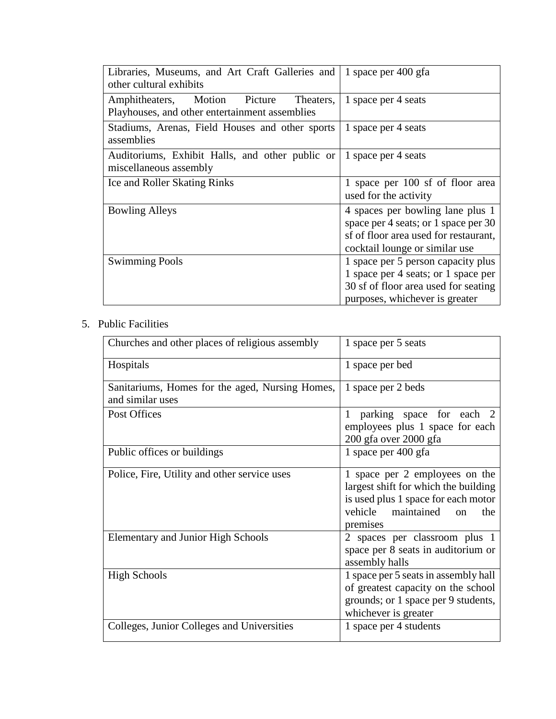| Libraries, Museums, and Art Craft Galleries and<br>other cultural exhibits                      | 1 space per 400 gfa                                                                                                                                 |
|-------------------------------------------------------------------------------------------------|-----------------------------------------------------------------------------------------------------------------------------------------------------|
| Amphitheaters, Motion<br>Picture<br>Theaters,<br>Playhouses, and other entertainment assemblies | 1 space per 4 seats                                                                                                                                 |
| Stadiums, Arenas, Field Houses and other sports<br>assemblies                                   | 1 space per 4 seats                                                                                                                                 |
| Auditoriums, Exhibit Halls, and other public or<br>miscellaneous assembly                       | 1 space per 4 seats                                                                                                                                 |
| Ice and Roller Skating Rinks                                                                    | 1 space per 100 sf of floor area<br>used for the activity                                                                                           |
| <b>Bowling Alleys</b>                                                                           | 4 spaces per bowling lane plus 1<br>space per 4 seats; or 1 space per 30<br>sf of floor area used for restaurant,<br>cocktail lounge or similar use |
| <b>Swimming Pools</b>                                                                           | 1 space per 5 person capacity plus<br>1 space per 4 seats; or 1 space per<br>30 sf of floor area used for seating<br>purposes, whichever is greater |

# 5. Public Facilities

| Churches and other places of religious assembly                     | 1 space per 5 seats                                                                                                                                                |
|---------------------------------------------------------------------|--------------------------------------------------------------------------------------------------------------------------------------------------------------------|
| Hospitals                                                           | 1 space per bed                                                                                                                                                    |
| Sanitariums, Homes for the aged, Nursing Homes,<br>and similar uses | 1 space per 2 beds                                                                                                                                                 |
| Post Offices                                                        | parking space for each 2<br>$\mathbf{1}$<br>employees plus 1 space for each<br>200 gfa over 2000 gfa                                                               |
| Public offices or buildings                                         | 1 space per 400 gfa                                                                                                                                                |
| Police, Fire, Utility and other service uses                        | 1 space per 2 employees on the<br>largest shift for which the building<br>is used plus 1 space for each motor<br>vehicle maintained<br>the<br>$\alpha$<br>premises |
| <b>Elementary and Junior High Schools</b>                           | 2 spaces per classroom plus 1<br>space per 8 seats in auditorium or<br>assembly halls                                                                              |
| <b>High Schools</b>                                                 | 1 space per 5 seats in assembly hall<br>of greatest capacity on the school<br>grounds; or 1 space per 9 students,<br>whichever is greater                          |
| Colleges, Junior Colleges and Universities                          | 1 space per 4 students                                                                                                                                             |